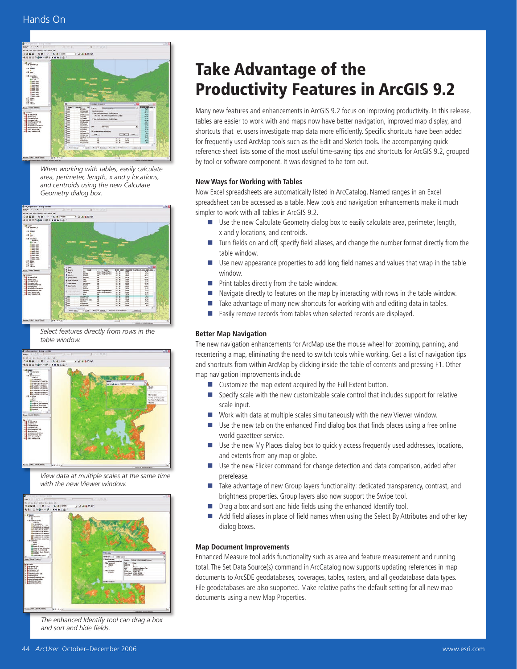

*When working with tables, easily calculate area, perimeter, length, x and y locations, and centroids using the new Calculate Geometry dialog box.*



*Select features directly from rows in the table window.* 



*View data at multiple scales at the same time with the new Viewer window.* 



*The enhanced Identify tool can drag a box and sort and hide fields.*

# Take Advantage of the Productivity Features in ArcGIS 9.2

Many new features and enhancements in ArcGIS 9.2 focus on improving productivity. In this release, tables are easier to work with and maps now have better navigation, improved map display, and shortcuts that let users investigate map data more efficiently. Specific shortcuts have been added for frequently used ArcMap tools such as the Edit and Sketch tools. The accompanying quick reference sheet lists some of the most useful time-saving tips and shortcuts for ArcGIS 9.2, grouped by tool or software component. It was designed to be torn out.

### **New Ways for Working with Tables**

Now Excel spreadsheets are automatically listed in ArcCatalog. Named ranges in an Excel spreadsheet can be accessed as a table. New tools and navigation enhancements make it much simpler to work with all tables in ArcGIS 9.2.

- Use the new Calculate Geometry dialog box to easily calculate area, perimeter, length, x and y locations, and centroids.
- $\blacksquare$  Turn fields on and off, specify field aliases, and change the number format directly from the table window.
- $\blacksquare$  Use new appearance properties to add long field names and values that wrap in the table window.
- Print tables directly from the table window.
- n Navigate directly to features on the map by interacting with rows in the table window.
- Take advantage of many new shortcuts for working with and editing data in tables.
- Easily remove records from tables when selected records are displayed.

### **Better Map Navigation**

The new navigation enhancements for ArcMap use the mouse wheel for zooming, panning, and recentering a map, eliminating the need to switch tools while working. Get a list of navigation tips and shortcuts from within ArcMap by clicking inside the table of contents and pressing F1. Other map navigation improvements include

- Customize the map extent acquired by the Full Extent button.
- **n** Specify scale with the new customizable scale control that includes support for relative scale input.
- $\blacksquare$  Work with data at multiple scales simultaneously with the new Viewer window.
- $\blacksquare$  Use the new tab on the enhanced Find dialog box that finds places using a free online world gazetteer service.
- **n** Use the new My Places dialog box to quickly access frequently used addresses, locations, and extents from any map or globe.
- $\blacksquare$  Use the new Flicker command for change detection and data comparison, added after prerelease.
- Take advantage of new Group layers functionality: dedicated transparency, contrast, and brightness properties. Group layers also now support the Swipe tool.
- Drag a box and sort and hide fields using the enhanced Identify tool.
- Add field aliases in place of field names when using the Select By Attributes and other key dialog boxes.

#### **Map Document Improvements**

Enhanced Measure tool adds functionality such as area and feature measurement and running total. The Set Data Source(s) command in ArcCatalog now supports updating references in map documents to ArcSDE geodatabases, coverages, tables, rasters, and all geodatabase data types. File geodatabases are also supported. Make relative paths the default setting for all new map documents using a new Map Properties.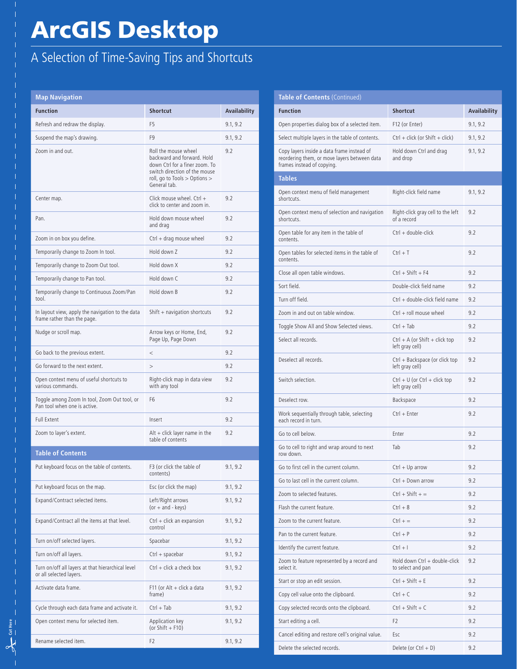# ArcGIS Desktop

## A Selection of Time-Saving Tips and Shortcuts

| <b>Map Navigation</b>                                                           |                                                                                                                                                                        |              |
|---------------------------------------------------------------------------------|------------------------------------------------------------------------------------------------------------------------------------------------------------------------|--------------|
| <b>Function</b>                                                                 | <b>Shortcut</b>                                                                                                                                                        | Availability |
| Refresh and redraw the display.                                                 | F <sub>5</sub>                                                                                                                                                         | 9.1, 9.2     |
| Suspend the map's drawing.                                                      | F <sub>9</sub>                                                                                                                                                         | 9.1, 9.2     |
| Zoom in and out.                                                                | Roll the mouse wheel<br>backward and forward. Hold<br>down Ctrl for a finer zoom. To<br>switch direction of the mouse<br>roll, go to Tools > Options ><br>General tab. | 9.2          |
| Center map.                                                                     | Click mouse wheel. $Ctrl +$<br>click to center and zoom in.                                                                                                            | 9.2          |
| Pan.                                                                            | Hold down mouse wheel<br>and drag                                                                                                                                      | 9.2          |
| Zoom in on box you define.                                                      | $Ctrl + drag$ mouse wheel                                                                                                                                              | 9.2          |
| Temporarily change to Zoom In tool.                                             | Hold down Z                                                                                                                                                            | 9.2          |
| Temporarily change to Zoom Out tool.                                            | Hold down X                                                                                                                                                            | 9.2          |
| Temporarily change to Pan tool.                                                 | Hold down C                                                                                                                                                            | 9.2          |
| Temporarily change to Continuous Zoom/Pan<br>tool.                              | Hold down B                                                                                                                                                            | 9.2          |
| In layout view, apply the navigation to the data<br>frame rather than the page. | Shift + navigation shortcuts                                                                                                                                           | 9.2          |
| Nudge or scroll map.                                                            | Arrow keys or Home, End,<br>Page Up, Page Down                                                                                                                         | 9.2          |
| Go back to the previous extent.                                                 | $\,<$                                                                                                                                                                  | 9.2          |
| Go forward to the next extent.                                                  | >                                                                                                                                                                      | 9.2          |
| Open context menu of useful shortcuts to<br>various commands.                   | Right-click map in data view<br>with any tool                                                                                                                          | 9.2          |
| Toggle among Zoom In tool, Zoom Out tool, or<br>Pan tool when one is active.    | F6                                                                                                                                                                     | 9.2          |
| <b>Full Extent</b>                                                              | Insert                                                                                                                                                                 | 9.2          |
| Zoom to layer's extent.                                                         | $Alt + click$ layer name in the<br>table of contents                                                                                                                   | 9.2          |
| <b>Table of Contents</b>                                                        |                                                                                                                                                                        |              |
| Put keyboard focus on the table of contents.                                    | F3 (or click the table of<br>contents)                                                                                                                                 | 9.1, 9.2     |
| Put keyboard focus on the map.                                                  | Esc (or click the map)                                                                                                                                                 | 9.1, 9.2     |
| Expand/Contract selected items.                                                 | Left/Right arrows<br>$(or + and - keys)$                                                                                                                               | 9.1, 9.2     |
| Expand/Contract all the items at that level.                                    | $Ctrl + click$ an expansion<br>control                                                                                                                                 | 9.1, 9.2     |
| Turn on/off selected layers.                                                    | Spacebar                                                                                                                                                               | 9.1, 9.2     |
| Turn on/off all layers.                                                         | $Ctrl + spacebar$                                                                                                                                                      | 9.1, 9.2     |
| Turn on/off all layers at that hierarchical level<br>or all selected layers.    | $Ctrl + click a check box$                                                                                                                                             | 9.1, 9.2     |
| Activate data frame.                                                            | F11 (or Alt + click a data<br>frame)                                                                                                                                   | 9.1, 9.2     |
| Cycle through each data frame and activate it.                                  | $Ctrl + Tab$                                                                                                                                                           | 9.1, 9.2     |
| Open context menu for selected item.                                            | Application key<br>(or Shift $+$ F10)                                                                                                                                  | 9.1, 9.2     |
| Rename selected item.                                                           | F2                                                                                                                                                                     | 9.1, 9.2     |

 $\frac{1}{\sqrt{2}}$  Cut Here **Cut Here**

#### **Table of Contents** (Continued) **Function Shortcut Availability** Open properties dialog box of a selected item. F12 (or Enter) 9.1, 9.2 Select multiple layers in the table of contents. Ctrl + click (or Shift + click) 9.1, 9.2 Copy layers inside a data frame instead of reordering them, or move layers between data frames instead of copying. Hold down Ctrl and drag and drop 9.1, 9.2 **Tables** Open context menu of field management shortcuts. Right-click field name 9.1, 9.2 Open context menu of selection and navigation shortcuts. Right-click gray cell to the left of a record 9.2 Open table for any item in the table of contents. Ctrl + double-click 9.2 Open tables for selected items in the table of contents.  $Ctrl + T$  9.2 Close all open table windows. Ctrl + Shift + F4 9.2 Sort field. Double-click field name 9.2 Turn off field. Turn of field. Zoom in and out on table window. Ctrl + roll mouse wheel 9.2 Toggle Show All and Show Selected views. Ctrl + Tab 9.2 Select all records. Ctrl + A (or Shift + click top left gray cell) 9.2 Deselect all records. Ctrl + Backspace (or click top left gray cell) 9.2 Switch selection.  $Ctrl + U$  (or Ctrl + click top left gray cell) 9<sub>2</sub> Deselect row. **Backspace** 9.2 Work sequentially through table, selecting each record in turn.  $Ctrl + Enter$  9.2 Go to cell below **Enter** 9.2 Go to cell to right and wrap around to next row down. Tab 9.2 Go to first cell in the current column. Ctrl + Up arrow 9.2 Go to last cell in the current column. Ctrl + Down arrow 9.2 Zoom to selected features. Ctrl + Shift + =  $\qquad 9.2$ Flash the current feature. Ctrl + 8  $\qquad 9.2$ Zoom to the current feature. Ctrl + =  $\qquad 9.2$ Pan to the current feature.  $\qquad \qquad \qquad$  Ctrl + P 9.2 Identify the current feature. Ctrl + I 9.2 Zoom to feature represented by a record and select it. Hold down Ctrl + double-click to select and pan 9.2 Start or stop an edit session. Ctrl + Shift + E 9.2 Copy cell value onto the clipboard.  $Ctrl + C$  9.2 Copy selected records onto the clipboard. Ctrl + Shift + C 9.2 Start editing a cell. 6. 2012 12:30 PM Start editing a cell. Cancel editing and restore cell's original value. Esc 9.2 Delete the selected records. Delete (or Ctrl + D) 9.2